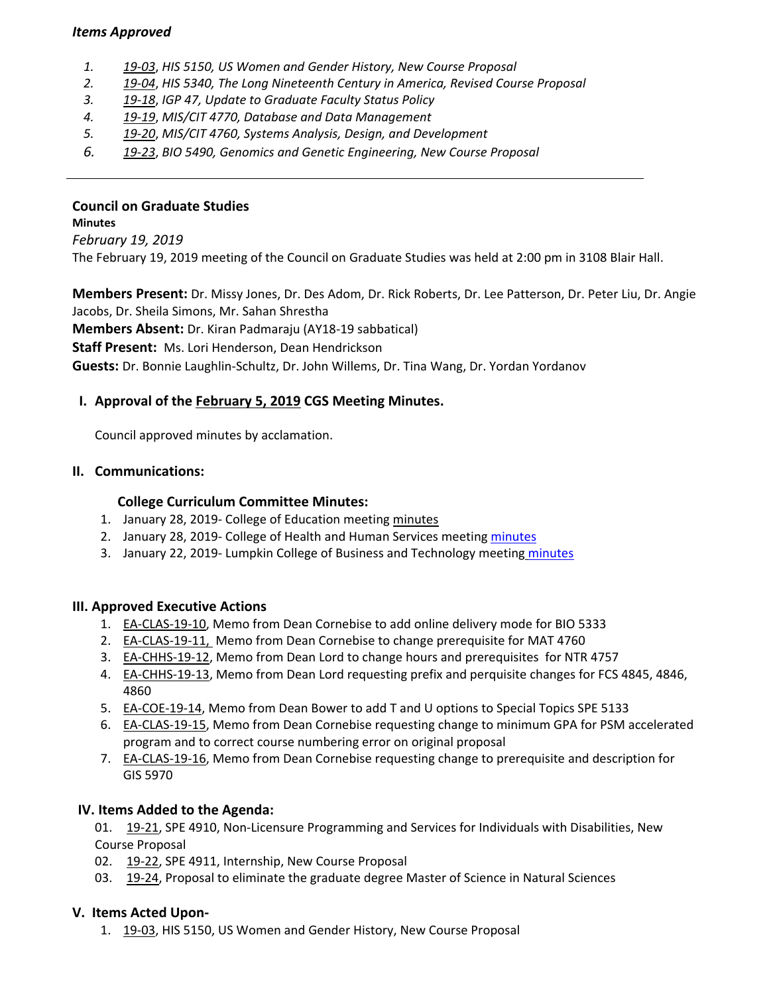#### *Items Approved*

- *1. 19‐[03](http://castle.eiu.edu/eiucgs/currentagendaitems/agenda19-03.pdf)*, *HIS 5150, US Women and Gender History, New Course Proposal*
- *2. 19‐[04](http://castle.eiu.edu/eiucgs/currentagendaitems/agenda19-04.pdf)*, *HIS 5340, The Long Nineteenth Century in America, Revised Course Proposal*
- *3. 19‐[18](http://castle.eiu.edu/eiucgs/currentagendaitems/agenda19-18.pdf)*, *IGP 47, Update to Graduate Faculty Status Policy*
- *4. 19‐[19](http://castle.eiu.edu/eiucgs/currentagendaitems/agenda19-19.pdf)*, *MIS/CIT 4770, Database and Data Management*
- *5. 19‐[20](http://castle.eiu.edu/eiucgs/currentagendaitems/agenda19-20.pdf)*, *MIS/CIT 4760, Systems Analysis, Design, and Development*
- *6. 19‐[23](http://castle.eiu.edu/eiucgs/currentagendaitems/agenda19-23.pdf)*, *BIO 5490, Genomics and Genetic Engineering, New Course Proposal*

## **Council on Graduate Studies**

**Minutes** *February 19, 2019* The February 19, 2019 meeting of the Council on Graduate Studies was held at 2:00 pm in 3108 Blair Hall.

**Members Present:** Dr. Missy Jones, Dr. Des Adom, Dr. Rick Roberts, Dr. Lee Patterson, Dr. Peter Liu, Dr. Angie Jacobs, Dr. Sheila Simons, Mr. Sahan Shrestha

**Members Absent:** Dr. Kiran Padmaraju (AY18‐19 sabbatical)

**Staff Present:** Ms. Lori Henderson, Dean Hendrickson

**Guests:** Dr. Bonnie Laughlin‐Schultz, Dr. John Willems, Dr. Tina Wang, Dr. Yordan Yordanov

# **I. Approval of the [February](http://castle.eiu.edu/eiucgs/currentminutes/Minutes2-5-19.pdf) 5, 2019 CGS Meeting Minutes.**

Council approved minutes by acclamation.

#### **II. Communications:**

#### **College Curriculum Committee Minutes:**

- 1. January 28, 2019‐ College of Education meeting [minutes](https://www.eiu.edu/coe/ay20182019/supportdocs/jan/coe_curr_minutes_01282019.pdf)
- 2. January 28, 2019- College of Health and Human Services meeting [minutes](https://www.eiu.edu/healthcol/curriculum.php)
- 3. January 22, 2019- Lumpkin College of Business and Technology meeting [minutes](https://www.eiu.edu/lumpkin/curriculum/lcbatcurrmin20190122.pdf)

#### **III. Approved Executive Actions**

- 1. EA‐[CLAS](http://castle.eiu.edu/eiucgs/exec-actions/EA-CLAS-19-10.pdf)‐19‐10, Memo from Dean Cornebise to add online delivery mode for BIO 5333
- 2. EA-[CLAS](http://castle.eiu.edu/eiucgs/exec-actions/EA-CLAS-19-11.pdf)-19-11, Memo from Dean Cornebise to change prerequisite for MAT 4760
- 3. EA-[CHHS](http://castle.eiu.edu/eiucgs/exec-actions/EA-CHHS-19-12.pdf)-19-12, Memo from Dean Lord to change hours and prerequisites for NTR 4757
- 4. EA‐[CHHS](http://castle.eiu.edu/eiucgs/exec-actions/EA-CHHS-19-13.pdf)‐19‐13, Memo from Dean Lord requesting prefix and perquisite changes for FCS 4845, 4846, 4860
- 5. EA-[COE](http://castle.eiu.edu/eiucgs/exec-actions/EA-COE-19-14.pdf)-19-14, Memo from Dean Bower to add T and U options to Special Topics SPE 5133
- 6. EA-[CLAS](http://castle.eiu.edu/eiucgs/exec-actions/EA-CLAS-19-15.pdf)-19-15, Memo from Dean Cornebise requesting change to minimum GPA for PSM accelerated program and to correct course numbering error on original proposal
- 7. EA-[CLAS](http://castle.eiu.edu/eiucgs/exec-actions/EA-CLAS-19-16.pdf)-19-16, Memo from Dean Cornebise requesting change to prerequisite and description for GIS 5970

## **IV. Items Added to the Agenda:**

01. 19-[21,](http://castle.eiu.edu/eiucgs/currentagendaitems/agenda19-21.pdf) SPE 4910, Non-Licensure Programming and Services for Individuals with Disabilities, New Course Proposal

- 02. 19-[22,](http://castle.eiu.edu/eiucgs/currentagendaitems/agenda19-22.pdf) SPE 4911, Internship, New Course Proposal
- 03. 19-[24,](http://castle.eiu.edu/eiucgs/currentagendaitems/agenda19-24.pdf) Proposal to eliminate the graduate degree Master of Science in Natural Sciences

#### **V. Items Acted Upon‐**

1. 19-[03,](http://castle.eiu.edu/eiucgs/currentagendaitems/agenda19-03.pdf) HIS 5150, US Women and Gender History, New Course Proposal